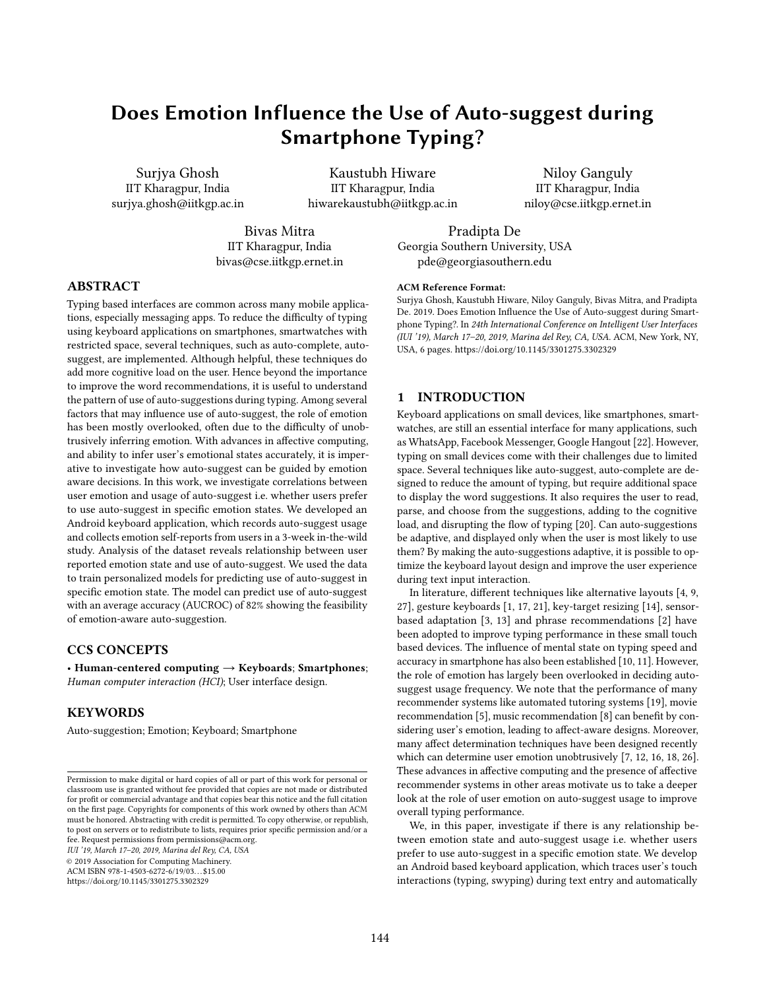# Does Emotion Influence the Use of Auto-suggest during Smartphone Typing?

Surjya Ghosh IIT Kharagpur, India surjya.ghosh@iitkgp.ac.in

Kaustubh Hiware IIT Kharagpur, India hiwarekaustubh@iitkgp.ac.in

Niloy Ganguly IIT Kharagpur, India niloy@cse.iitkgp.ernet.in

Bivas Mitra IIT Kharagpur, India bivas@cse.iitkgp.ernet.in

Pradipta De Georgia Southern University, USA pde@georgiasouthern.edu

# ABSTRACT

Typing based interfaces are common across many mobile applications, especially messaging apps. To reduce the difficulty of typing using keyboard applications on smartphones, smartwatches with restricted space, several techniques, such as auto-complete, autosuggest, are implemented. Although helpful, these techniques do add more cognitive load on the user. Hence beyond the importance to improve the word recommendations, it is useful to understand the pattern of use of auto-suggestions during typing. Among several factors that may influence use of auto-suggest, the role of emotion has been mostly overlooked, often due to the difficulty of unobtrusively inferring emotion. With advances in affective computing, and ability to infer user's emotional states accurately, it is imperative to investigate how auto-suggest can be guided by emotion aware decisions. In this work, we investigate correlations between user emotion and usage of auto-suggest i.e. whether users prefer to use auto-suggest in specific emotion states. We developed an Android keyboard application, which records auto-suggest usage and collects emotion self-reports from users in a 3-week in-the-wild study. Analysis of the dataset reveals relationship between user reported emotion state and use of auto-suggest. We used the data to train personalized models for predicting use of auto-suggest in specific emotion state. The model can predict use of auto-suggest with an average accuracy (AUCROC) of 82% showing the feasibility of emotion-aware auto-suggestion.

# CCS CONCEPTS

• Human-centered computing  $\rightarrow$  Keyboards; Smartphones; Human computer interaction (HCI); User interface design.

# **KEYWORDS**

Auto-suggestion; Emotion; Keyboard; Smartphone

IUI '19, March 17–20, 2019, Marina del Rey, CA, USA

© 2019 Association for Computing Machinery.

ACM ISBN 978-1-4503-6272-6/19/03. . . \$15.00

<https://doi.org/10.1145/3301275.3302329>

#### ACM Reference Format:

Surjya Ghosh, Kaustubh Hiware, Niloy Ganguly, Bivas Mitra, and Pradipta De. 2019. Does Emotion Influence the Use of Auto-suggest during Smartphone Typing?. In 24th International Conference on Intelligent User Interfaces (IUI '19), March 17–20, 2019, Marina del Rey, CA, USA. ACM, New York, NY, USA, [6](#page-5-0) pages.<https://doi.org/10.1145/3301275.3302329>

# 1 INTRODUCTION

Keyboard applications on small devices, like smartphones, smartwatches, are still an essential interface for many applications, such as WhatsApp, Facebook Messenger, Google Hangout [\[22\]](#page-5-1). However, typing on small devices come with their challenges due to limited space. Several techniques like auto-suggest, auto-complete are designed to reduce the amount of typing, but require additional space to display the word suggestions. It also requires the user to read, parse, and choose from the suggestions, adding to the cognitive load, and disrupting the flow of typing [\[20\]](#page-4-0). Can auto-suggestions be adaptive, and displayed only when the user is most likely to use them? By making the auto-suggestions adaptive, it is possible to optimize the keyboard layout design and improve the user experience during text input interaction.

In literature, different techniques like alternative layouts [\[4,](#page-4-1) [9,](#page-4-2) [27\]](#page-5-2), gesture keyboards [\[1,](#page-4-3) [17,](#page-4-4) [21\]](#page-5-3), key-target resizing [\[14\]](#page-4-5), sensorbased adaptation [\[3,](#page-4-6) [13\]](#page-4-7) and phrase recommendations [\[2\]](#page-4-8) have been adopted to improve typing performance in these small touch based devices. The influence of mental state on typing speed and accuracy in smartphone has also been established [\[10,](#page-4-9) [11\]](#page-4-10). However, the role of emotion has largely been overlooked in deciding autosuggest usage frequency. We note that the performance of many recommender systems like automated tutoring systems [\[19\]](#page-4-11), movie recommendation [\[5\]](#page-4-12), music recommendation [\[8\]](#page-4-13) can benefit by considering user's emotion, leading to affect-aware designs. Moreover, many affect determination techniques have been designed recently which can determine user emotion unobtrusively [\[7,](#page-4-14) [12,](#page-4-15) [16,](#page-4-16) [18,](#page-4-17) [26\]](#page-5-4). These advances in affective computing and the presence of affective recommender systems in other areas motivate us to take a deeper look at the role of user emotion on auto-suggest usage to improve overall typing performance.

We, in this paper, investigate if there is any relationship between emotion state and auto-suggest usage i.e. whether users prefer to use auto-suggest in a specific emotion state. We develop an Android based keyboard application, which traces user's touch interactions (typing, swyping) during text entry and automatically

Permission to make digital or hard copies of all or part of this work for personal or classroom use is granted without fee provided that copies are not made or distributed for profit or commercial advantage and that copies bear this notice and the full citation on the first page. Copyrights for components of this work owned by others than ACM must be honored. Abstracting with credit is permitted. To copy otherwise, or republish, to post on servers or to redistribute to lists, requires prior specific permission and/or a fee. Request permissions from permissions@acm.org.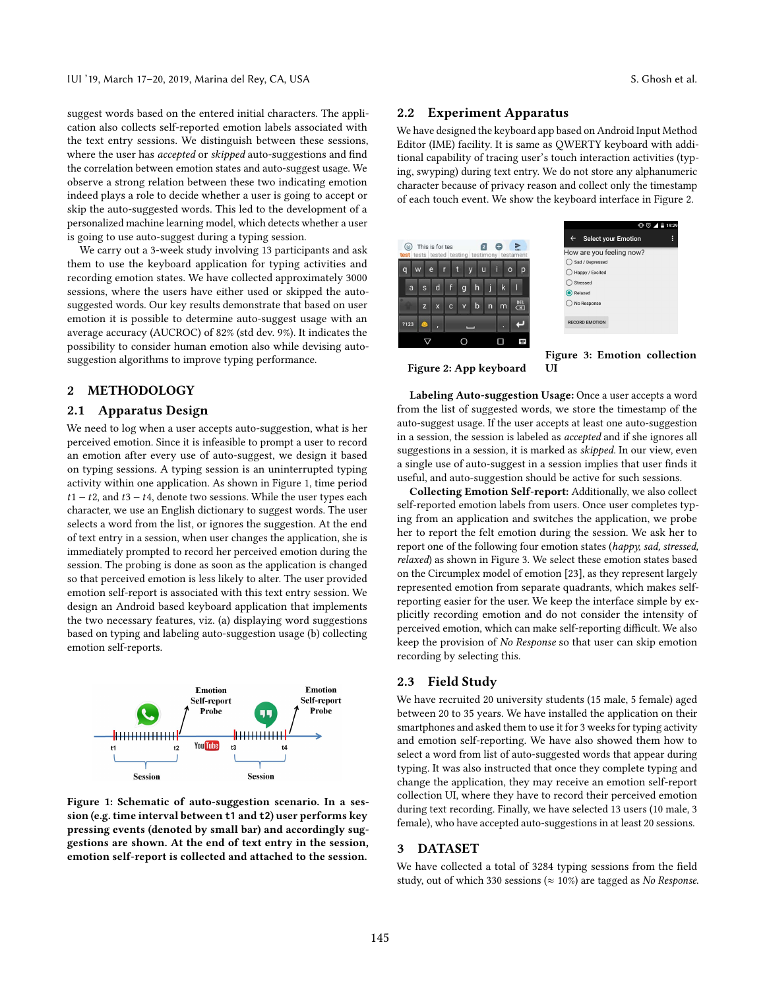suggest words based on the entered initial characters. The application also collects self-reported emotion labels associated with the text entry sessions. We distinguish between these sessions, where the user has *accepted* or *skipped* auto-suggestions and find the correlation between emotion states and auto-suggest usage. We observe a strong relation between these two indicating emotion indeed plays a role to decide whether a user is going to accept or skip the auto-suggested words. This led to the development of a personalized machine learning model, which detects whether a user is going to use auto-suggest during a typing session.

We carry out a 3-week study involving 13 participants and ask them to use the keyboard application for typing activities and recording emotion states. We have collected approximately 3000 sessions, where the users have either used or skipped the autosuggested words. Our key results demonstrate that based on user emotion it is possible to determine auto-suggest usage with an average accuracy (AUCROC) of 82% (std dev. 9%). It indicates the possibility to consider human emotion also while devising autosuggestion algorithms to improve typing performance.

# 2 METHODOLOGY

# 2.1 Apparatus Design

We need to log when a user accepts auto-suggestion, what is her perceived emotion. Since it is infeasible to prompt a user to record an emotion after every use of auto-suggest, we design it based on typing sessions. A typing session is an uninterrupted typing activity within one application. As shown in Figure [1,](#page-1-0) time period  $t1 - t2$ , and  $t3 - t4$ , denote two sessions. While the user types each character, we use an English dictionary to suggest words. The user selects a word from the list, or ignores the suggestion. At the end of text entry in a session, when user changes the application, she is immediately prompted to record her perceived emotion during the session. The probing is done as soon as the application is changed so that perceived emotion is less likely to alter. The user provided emotion self-report is associated with this text entry session. We design an Android based keyboard application that implements the two necessary features, viz. (a) displaying word suggestions based on typing and labeling auto-suggestion usage (b) collecting emotion self-reports.

<span id="page-1-0"></span>

Figure 1: Schematic of auto-suggestion scenario. In a session (e.g. time interval between **t1** and **t2**) user performs key pressing events (denoted by small bar) and accordingly suggestions are shown. At the end of text entry in the session, emotion self-report is collected and attached to the session.

# 2.2 Experiment Apparatus

We have designed the keyboard app based on Android Input Method Editor (IME) facility. It is same as QWERTY keyboard with additional capability of tracing user's touch interaction activities (typing, swyping) during text entry. We do not store any alphanumeric character because of privacy reason and collect only the timestamp of each touch event. We show the keyboard interface in Figure [2.](#page-1-1)

<span id="page-1-1"></span>

Figure 2: App keyboard



Figure 3: Emotion collection UI

Labeling Auto-suggestion Usage: Once a user accepts a word from the list of suggested words, we store the timestamp of the auto-suggest usage. If the user accepts at least one auto-suggestion in a session, the session is labeled as accepted and if she ignores all suggestions in a session, it is marked as skipped. In our view, even a single use of auto-suggest in a session implies that user finds it useful, and auto-suggestion should be active for such sessions.

Collecting Emotion Self-report: Additionally, we also collect self-reported emotion labels from users. Once user completes typing from an application and switches the application, we probe her to report the felt emotion during the session. We ask her to report one of the following four emotion states (happy, sad, stressed, relaxed) as shown in Figure [3.](#page-1-1) We select these emotion states based on the Circumplex model of emotion [\[23\]](#page-5-5), as they represent largely represented emotion from separate quadrants, which makes selfreporting easier for the user. We keep the interface simple by explicitly recording emotion and do not consider the intensity of perceived emotion, which can make self-reporting difficult. We also keep the provision of No Response so that user can skip emotion recording by selecting this.

# 2.3 Field Study

We have recruited 20 university students (15 male, 5 female) aged between 20 to 35 years. We have installed the application on their smartphones and asked them to use it for 3 weeks for typing activity and emotion self-reporting. We have also showed them how to select a word from list of auto-suggested words that appear during typing. It was also instructed that once they complete typing and change the application, they may receive an emotion self-report collection UI, where they have to record their perceived emotion during text recording. Finally, we have selected 13 users (10 male, 3 female), who have accepted auto-suggestions in at least 20 sessions.

#### 3 DATASET

We have collected a total of 3284 typing sessions from the field study, out of which 330 sessions ( $\approx$  10%) are tagged as No Response.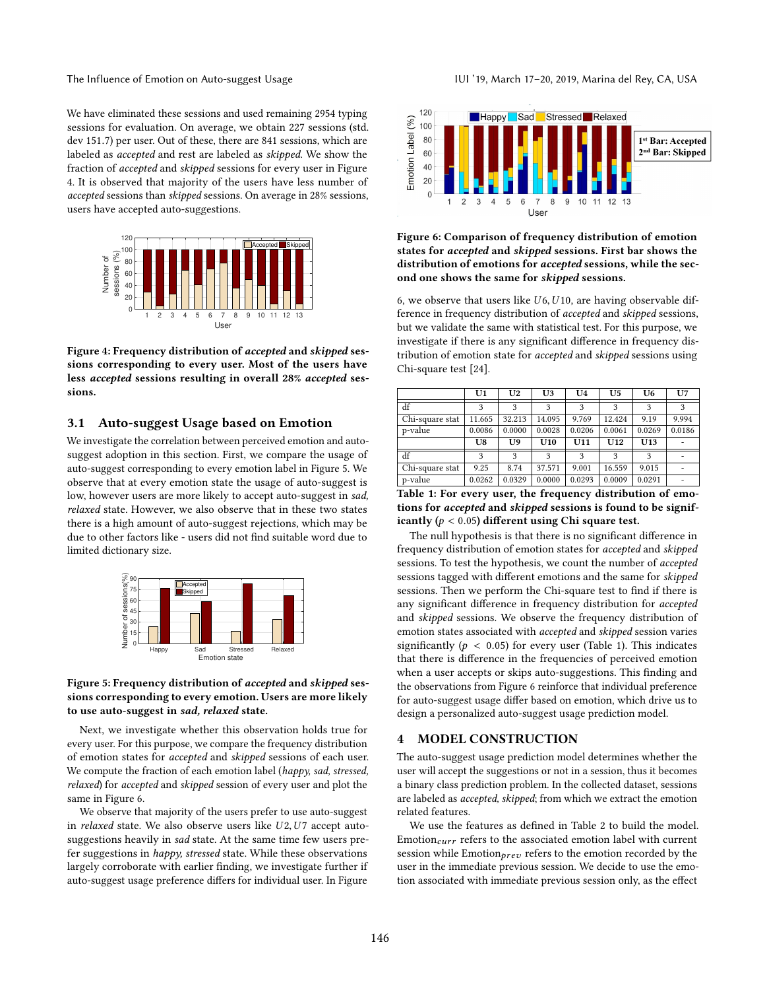We have eliminated these sessions and used remaining 2954 typing sessions for evaluation. On average, we obtain 227 sessions (std. dev <sup>151</sup>.7) per user. Out of these, there are <sup>841</sup> sessions, which are labeled as accepted and rest are labeled as skipped. We show the fraction of accepted and skipped sessions for every user in Figure [4.](#page-2-0) It is observed that majority of the users have less number of accepted sessions than skipped sessions. On average in 28% sessions, users have accepted auto-suggestions.

<span id="page-2-0"></span>

Figure 4: Frequency distribution of accepted and skipped sessions corresponding to every user. Most of the users have less accepted sessions resulting in overall 28% accepted sessions.

# 3.1 Auto-suggest Usage based on Emotion

We investigate the correlation between perceived emotion and autosuggest adoption in this section. First, we compare the usage of auto-suggest corresponding to every emotion label in Figure [5.](#page-2-1) We observe that at every emotion state the usage of auto-suggest is low, however users are more likely to accept auto-suggest in sad, relaxed state. However, we also observe that in these two states there is a high amount of auto-suggest rejections, which may be due to other factors like - users did not find suitable word due to limited dictionary size.

<span id="page-2-1"></span>

#### Figure 5: Frequency distribution of accepted and skipped sessions corresponding to every emotion. Users are more likely to use auto-suggest in sad, relaxed state.

Next, we investigate whether this observation holds true for every user. For this purpose, we compare the frequency distribution of emotion states for accepted and skipped sessions of each user. We compute the fraction of each emotion label (happy, sad, stressed, relaxed) for accepted and skipped session of every user and plot the same in Figure [6.](#page-2-2)

We observe that majority of the users prefer to use auto-suggest in *relaxed* state. We also observe users like  $U2, U7$  accept autosuggestions heavily in sad state. At the same time few users prefer suggestions in happy, stressed state. While these observations largely corroborate with earlier finding, we investigate further if auto-suggest usage preference differs for individual user. In Figure

<span id="page-2-2"></span>

# Figure 6: Comparison of frequency distribution of emotion states for accepted and skipped sessions. First bar shows the distribution of emotions for accepted sessions, while the second one shows the same for skipped sessions.

[6,](#page-2-2) we observe that users like  $U$ 6,  $U$ 10, are having observable difference in frequency distribution of accepted and skipped sessions, but we validate the same with statistical test. For this purpose, we investigate if there is any significant difference in frequency distribution of emotion state for accepted and skipped sessions using Chi-square test [\[24\]](#page-5-6).

<span id="page-2-3"></span>

|                 | U1     | U <sub>2</sub> | U3     | U <sub>4</sub> | U <sub>5</sub> | U <sub>6</sub> | U <sub>7</sub> |
|-----------------|--------|----------------|--------|----------------|----------------|----------------|----------------|
| df              | 3      | 3              | 3      | 3              | 3              | 3              | 3              |
| Chi-square stat | 11.665 | 32.213         | 14.095 | 9.769          | 12.424         | 9.19           | 9.994          |
| p-value         | 0.0086 | 0.0000         | 0.0028 | 0.0206         | 0.0061         | 0.0269         | 0.0186         |
|                 | U8     | U <sub>9</sub> | U10    | U11            | U12            | U13            |                |
| df              | 3      | 3              | 3      | 3              | 3              | 3              |                |
| Chi-square stat | 9.25   | 8.74           | 37.571 | 9.001          | 16.559         | 9.015          |                |
| p-value         | 0.0262 | 0.0329         | 0.0000 | 0.0293         | 0.0009         | 0.0291         |                |

Table 1: For every user, the frequency distribution of emotions for accepted and skipped sessions is found to be significantly ( $p < 0.05$ ) different using Chi square test.

The null hypothesis is that there is no significant difference in frequency distribution of emotion states for accepted and skipped sessions. To test the hypothesis, we count the number of accepted sessions tagged with different emotions and the same for skipped sessions. Then we perform the Chi-square test to find if there is any significant difference in frequency distribution for accepted and skipped sessions. We observe the frequency distribution of emotion states associated with accepted and skipped session varies significantly ( $p < 0.05$ ) for every user (Table [1\)](#page-2-3). This indicates that there is difference in the frequencies of perceived emotion when a user accepts or skips auto-suggestions. This finding and the observations from Figure [6](#page-2-2) reinforce that individual preference for auto-suggest usage differ based on emotion, which drive us to design a personalized auto-suggest usage prediction model.

### 4 MODEL CONSTRUCTION

The auto-suggest usage prediction model determines whether the user will accept the suggestions or not in a session, thus it becomes a binary class prediction problem. In the collected dataset, sessions are labeled as accepted, skipped; from which we extract the emotion related features.

We use the features as defined in Table [2](#page-3-0) to build the model. Emotion $_{curr}$  refers to the associated emotion label with current session while Emotion $_{prev}$  refers to the emotion recorded by the user in the immediate previous session. We decide to use the emotion associated with immediate previous session only, as the effect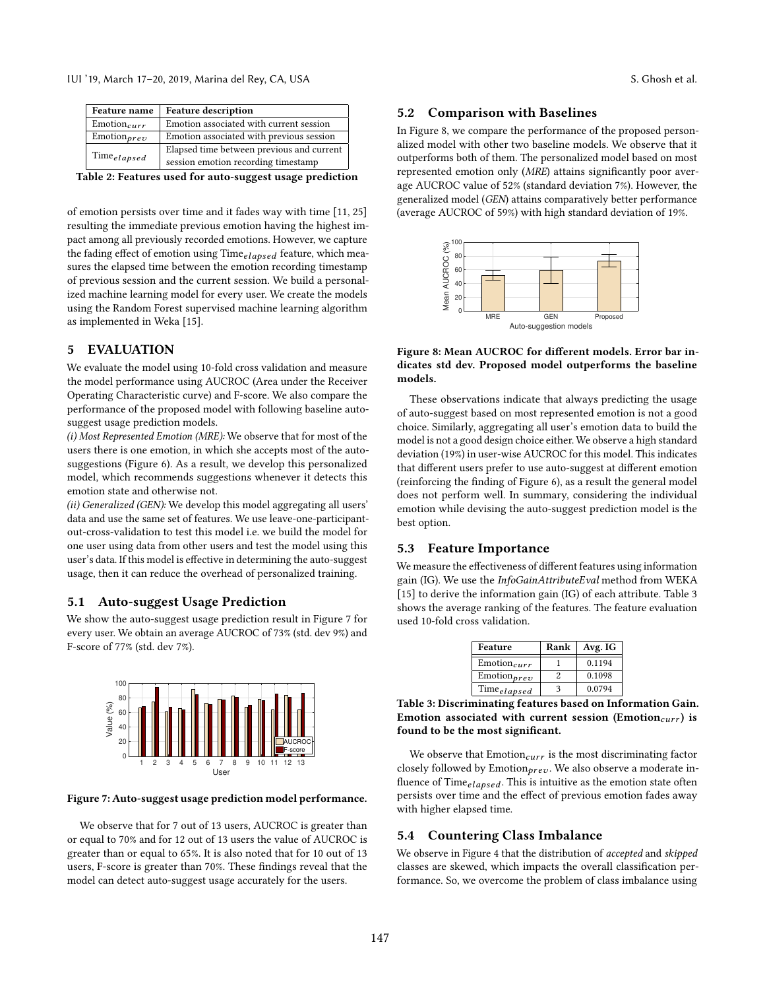<span id="page-3-0"></span>

| Feature name     | <b>Feature description</b>                                                       |
|------------------|----------------------------------------------------------------------------------|
| $Emotion_{curr}$ | Emotion associated with current session                                          |
| $Emotion_{prev}$ | Emotion associated with previous session                                         |
| $Time_{elapped}$ | Elapsed time between previous and current<br>session emotion recording timestamp |
|                  |                                                                                  |

Table 2: Features used for auto-suggest usage prediction

of emotion persists over time and it fades way with time [\[11,](#page-4-10) [25\]](#page-5-7) resulting the immediate previous emotion having the highest impact among all previously recorded emotions. However, we capture the fading effect of emotion using  $Time_{elapse}$  feature, which measures the elapsed time between the emotion recording timestamp of previous session and the current session. We build a personalized machine learning model for every user. We create the models using the Random Forest supervised machine learning algorithm as implemented in Weka [\[15\]](#page-4-18).

# 5 EVALUATION

We evaluate the model using 10-fold cross validation and measure the model performance using AUCROC (Area under the Receiver Operating Characteristic curve) and F-score. We also compare the performance of the proposed model with following baseline autosuggest usage prediction models.

(i) Most Represented Emotion (MRE): We observe that for most of the users there is one emotion, in which she accepts most of the autosuggestions (Figure [6\)](#page-2-2). As a result, we develop this personalized model, which recommends suggestions whenever it detects this emotion state and otherwise not.

(ii) Generalized (GEN): We develop this model aggregating all users' data and use the same set of features. We use leave-one-participantout-cross-validation to test this model i.e. we build the model for one user using data from other users and test the model using this user's data. If this model is effective in determining the auto-suggest usage, then it can reduce the overhead of personalized training.

# 5.1 Auto-suggest Usage Prediction

We show the auto-suggest usage prediction result in Figure [7](#page-3-1) for every user. We obtain an average AUCROC of 73% (std. dev 9%) and F-score of 77% (std. dev 7%).

<span id="page-3-1"></span>

#### Figure 7: Auto-suggest usage prediction model performance.

We observe that for 7 out of 13 users, AUCROC is greater than or equal to 70% and for 12 out of 13 users the value of AUCROC is greater than or equal to 65%. It is also noted that for 10 out of 13 users, F-score is greater than 70%. These findings reveal that the model can detect auto-suggest usage accurately for the users.

#### 5.2 Comparison with Baselines

In Figure [8,](#page-3-2) we compare the performance of the proposed personalized model with other two baseline models. We observe that it outperforms both of them. The personalized model based on most represented emotion only (MRE) attains significantly poor average AUCROC value of 52% (standard deviation 7%). However, the generalized model (GEN) attains comparatively better performance (average AUCROC of 59%) with high standard deviation of 19%.

<span id="page-3-2"></span>

Figure 8: Mean AUCROC for different models. Error bar indicates std dev. Proposed model outperforms the baseline models.

These observations indicate that always predicting the usage of auto-suggest based on most represented emotion is not a good choice. Similarly, aggregating all user's emotion data to build the model is not a good design choice either. We observe a high standard deviation (19%) in user-wise AUCROC for this model. This indicates that different users prefer to use auto-suggest at different emotion (reinforcing the finding of Figure [6\)](#page-2-2), as a result the general model does not perform well. In summary, considering the individual emotion while devising the auto-suggest prediction model is the best option.

# 5.3 Feature Importance

We measure the effectiveness of different features using information gain (IG). We use the InfoGainAttributeEval method from WEKA [\[15\]](#page-4-18) to derive the information gain (IG) of each attribute. Table [3](#page-3-3) shows the average ranking of the features. The feature evaluation used 10-fold cross validation.

| Feature          | Rank | Avg. IG |
|------------------|------|---------|
| $Emotion_{curr}$ |      | 0.1194  |
| $Emotion_{prev}$ |      | 0.1098  |
| $Time_{elapped}$ | 3    | 0.0794  |

<span id="page-3-3"></span> $\begin{array}{|l|c|c|c|}\hline \text{Time}_{elapsed} & 3 & 0.0794 \\\hline \text{Table 3: Discriminating features based on Information Gain.} \end{array}$ Emotion associated with current session (Emotion $_{curr}$ ) is found to be the most significant.

We observe that  $Emotion_{curr}$  is the most discriminating factor closely followed by Emotion $_{\text{prev}}$ . We also observe a moderate influence of Time $_{el{a}psed}$ . This is intuitive as the emotion state often persists over time and the effect of previous emotion fades away with higher elapsed time.

# 5.4 Countering Class Imbalance

We observe in Figure [4](#page-2-0) that the distribution of accepted and skipped classes are skewed, which impacts the overall classification performance. So, we overcome the problem of class imbalance using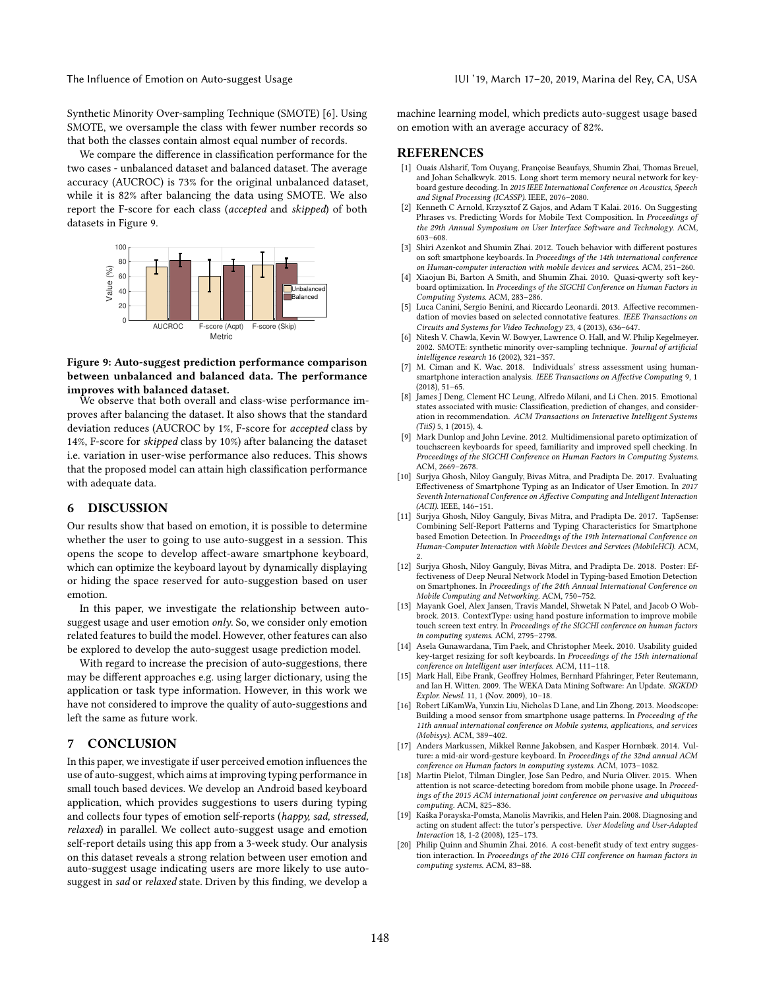Synthetic Minority Over-sampling Technique (SMOTE) [\[6\]](#page-4-19). Using SMOTE, we oversample the class with fewer number records so that both the classes contain almost equal number of records.

We compare the difference in classification performance for the two cases - unbalanced dataset and balanced dataset. The average accuracy (AUCROC) is 73% for the original unbalanced dataset, while it is 82% after balancing the data using SMOTE. We also report the F-score for each class (accepted and skipped) of both datasets in Figure [9.](#page-4-20)

<span id="page-4-20"></span>

# Figure 9: Auto-suggest prediction performance comparison between unbalanced and balanced data. The performance improves with balanced dataset.

We observe that both overall and class-wise performance improves after balancing the dataset. It also shows that the standard deviation reduces (AUCROC by 1%, F-score for accepted class by 14%, F-score for skipped class by 10%) after balancing the dataset i.e. variation in user-wise performance also reduces. This shows that the proposed model can attain high classification performance with adequate data.

# 6 DISCUSSION

Our results show that based on emotion, it is possible to determine whether the user to going to use auto-suggest in a session. This opens the scope to develop affect-aware smartphone keyboard, which can optimize the keyboard layout by dynamically displaying or hiding the space reserved for auto-suggestion based on user emotion.

In this paper, we investigate the relationship between autosuggest usage and user emotion only. So, we consider only emotion related features to build the model. However, other features can also be explored to develop the auto-suggest usage prediction model.

With regard to increase the precision of auto-suggestions, there may be different approaches e.g. using larger dictionary, using the application or task type information. However, in this work we have not considered to improve the quality of auto-suggestions and left the same as future work.

# 7 CONCLUSION

In this paper, we investigate if user perceived emotion influences the use of auto-suggest, which aims at improving typing performance in small touch based devices. We develop an Android based keyboard application, which provides suggestions to users during typing and collects four types of emotion self-reports (happy, sad, stressed, relaxed) in parallel. We collect auto-suggest usage and emotion self-report details using this app from a 3-week study. Our analysis on this dataset reveals a strong relation between user emotion and auto-suggest usage indicating users are more likely to use autosuggest in sad or relaxed state. Driven by this finding, we develop a machine learning model, which predicts auto-suggest usage based on emotion with an average accuracy of 82%.

# REFERENCES

- <span id="page-4-3"></span>[1] Ouais Alsharif, Tom Ouyang, Françoise Beaufays, Shumin Zhai, Thomas Breuel, and Johan Schalkwyk. 2015. Long short term memory neural network for keyboard gesture decoding. In 2015 IEEE International Conference on Acoustics, Speech and Signal Processing (ICASSP). IEEE, 2076–2080.
- <span id="page-4-8"></span>Kenneth C Arnold, Krzysztof Z Gajos, and Adam T Kalai. 2016. On Suggesting Phrases vs. Predicting Words for Mobile Text Composition. In Proceedings of the 29th Annual Symposium on User Interface Software and Technology. ACM, 603–608.
- <span id="page-4-6"></span>[3] Shiri Azenkot and Shumin Zhai. 2012. Touch behavior with different postures on soft smartphone keyboards. In Proceedings of the 14th international conference on Human-computer interaction with mobile devices and services. ACM, 251–260.
- <span id="page-4-1"></span>[4] Xiaojun Bi, Barton A Smith, and Shumin Zhai. 2010. Quasi-qwerty soft keyboard optimization. In Proceedings of the SIGCHI Conference on Human Factors in Computing Systems. ACM, 283–286.
- <span id="page-4-12"></span>[5] Luca Canini, Sergio Benini, and Riccardo Leonardi. 2013. Affective recommendation of movies based on selected connotative features. IEEE Transactions on Circuits and Systems for Video Technology 23, 4 (2013), 636–647.
- <span id="page-4-19"></span>[6] Nitesh V. Chawla, Kevin W. Bowyer, Lawrence O. Hall, and W. Philip Kegelmeyer. 2002. SMOTE: synthetic minority over-sampling technique. Journal of artificial intelligence research 16 (2002), 321–357.
- <span id="page-4-14"></span>[7] M. Ciman and K. Wac. 2018. Individuals' stress assessment using humansmartphone interaction analysis. IEEE Transactions on Affective Computing 9, 1 (2018), 51–65.
- <span id="page-4-13"></span>[8] James J Deng, Clement HC Leung, Alfredo Milani, and Li Chen. 2015. Emotional states associated with music: Classification, prediction of changes, and consideration in recommendation. ACM Transactions on Interactive Intelligent Systems  $(TiiS)$  5, 1 (2015), 4.
- <span id="page-4-2"></span>[9] Mark Dunlop and John Levine. 2012. Multidimensional pareto optimization of touchscreen keyboards for speed, familiarity and improved spell checking. In Proceedings of the SIGCHI Conference on Human Factors in Computing Systems. ACM, 2669–2678.
- <span id="page-4-9"></span>[10] Surjya Ghosh, Niloy Ganguly, Bivas Mitra, and Pradipta De. 2017. Evaluating Effectiveness of Smartphone Typing as an Indicator of User Emotion. In 2017 Seventh International Conference on Affective Computing and Intelligent Interaction  $(ACII)$ . IEEE,  $146 - 151$ .
- <span id="page-4-10"></span>[11] Surjya Ghosh, Niloy Ganguly, Bivas Mitra, and Pradipta De. 2017. TapSense: Combining Self-Report Patterns and Typing Characteristics for Smartphone based Emotion Detection. In Proceedings of the 19th International Conference on Human-Computer Interaction with Mobile Devices and Services (MobileHCI). ACM, 2.
- <span id="page-4-15"></span>[12] Surjya Ghosh, Niloy Ganguly, Bivas Mitra, and Pradipta De. 2018. Poster: Effectiveness of Deep Neural Network Model in Typing-based Emotion Detection on Smartphones. In Proceedings of the 24th Annual International Conference on Mobile Computing and Networking. ACM, 750–752.
- <span id="page-4-7"></span>[13] Mayank Goel, Alex Jansen, Travis Mandel, Shwetak N Patel, and Jacob O Wobbrock. 2013. ContextType: using hand posture information to improve mobile touch screen text entry. In Proceedings of the SIGCHI conference on human factors in computing systems. ACM, 2795–2798.
- <span id="page-4-5"></span>[14] Asela Gunawardana, Tim Paek, and Christopher Meek. 2010. Usability guided key-target resizing for soft keyboards. In Proceedings of the 15th international conference on Intelligent user interfaces. ACM, 111–118.
- <span id="page-4-18"></span>[15] Mark Hall, Eibe Frank, Geoffrey Holmes, Bernhard Pfahringer, Peter Reutemann, and Ian H. Witten. 2009. The WEKA Data Mining Software: An Update. SIGKDD Explor. Newsl. 11, 1 (Nov. 2009), 10–18.
- <span id="page-4-16"></span>Robert LiKamWa, Yunxin Liu, Nicholas D Lane, and Lin Zhong. 2013. Moodscope: Building a mood sensor from smartphone usage patterns. In Proceeding of the 11th annual international conference on Mobile systems, applications, and services (Mobisys). ACM, 389–402.
- <span id="page-4-4"></span>[17] Anders Markussen, Mikkel Rønne Jakobsen, and Kasper Hornbæk. 2014. Vulture: a mid-air word-gesture keyboard. In Proceedings of the 32nd annual ACM conference on Human factors in computing systems. ACM, 1073–1082.
- <span id="page-4-17"></span>[18] Martin Pielot, Tilman Dingler, Jose San Pedro, and Nuria Oliver. 2015. When attention is not scarce-detecting boredom from mobile phone usage. In Proceedings of the 2015 ACM international joint conference on pervasive and ubiquitous computing. ACM, 825–836.
- <span id="page-4-11"></span>[19] Kaśka Porayska-Pomsta, Manolis Mavrikis, and Helen Pain. 2008. Diagnosing and acting on student affect: the tutor's perspective. User Modeling and User-Adapted Interaction 18, 1-2 (2008), 125–173.
- <span id="page-4-0"></span>[20] Philip Quinn and Shumin Zhai. 2016. A cost-benefit study of text entry suggestion interaction. In Proceedings of the 2016 CHI conference on human factors in computing systems. ACM, 83–88.